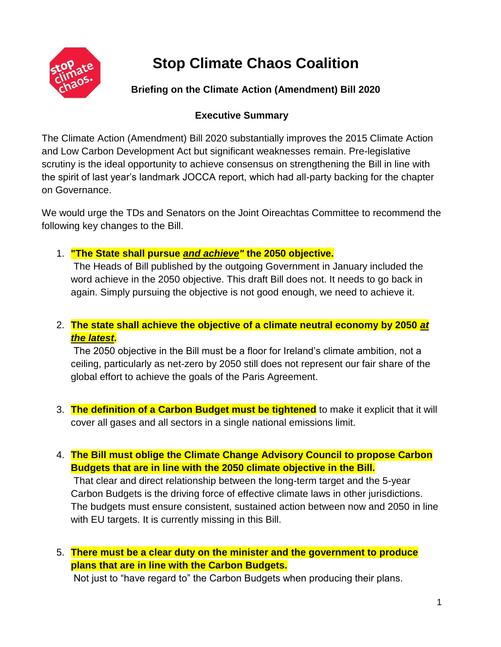

# **Stop Climate Chaos Coalition**

## **Briefing on the Climate Action (Amendment) Bill 2020**

## **Executive Summary**

The Climate Action (Amendment) Bill 2020 substantially improves the 2015 Climate Action and Low Carbon Development Act but significant weaknesses remain. Pre-legislative scrutiny is the ideal opportunity to achieve consensus on strengthening the Bill in line with the spirit of last year's landmark JOCCA report, which had all-party backing for the chapter on Governance.

We would urge the TDs and Senators on the Joint Oireachtas Committee to recommend the following key changes to the Bill.

1. **"The State shall pursue** *and achieve"* **the 2050 objective.**

The Heads of Bill published by the outgoing Government in January included the word achieve in the 2050 objective. This draft Bill does not. It needs to go back in again. Simply pursuing the objective is not good enough, we need to achieve it.

2. **The state shall achieve the objective of a climate neutral economy by 2050** *at the latest***.**

The 2050 objective in the Bill must be a floor for Ireland's climate ambition, not a ceiling, particularly as net-zero by 2050 still does not represent our fair share of the global effort to achieve the goals of the Paris Agreement.

- 3. **The definition of a Carbon Budget must be tightened** to make it explicit that it will cover all gases and all sectors in a single national emissions limit.
- 4. **The Bill must oblige the Climate Change Advisory Council to propose Carbon Budgets that are in line with the 2050 climate objective in the Bill.**

That clear and direct relationship between the long-term target and the 5-year Carbon Budgets is the driving force of effective climate laws in other jurisdictions. The budgets must ensure consistent, sustained action between now and 2050 in line with EU targets. It is currently missing in this Bill.

## 5. **There must be a clear duty on the minister and the government to produce plans that are in line with the Carbon Budgets.**

Not just to "have regard to" the Carbon Budgets when producing their plans.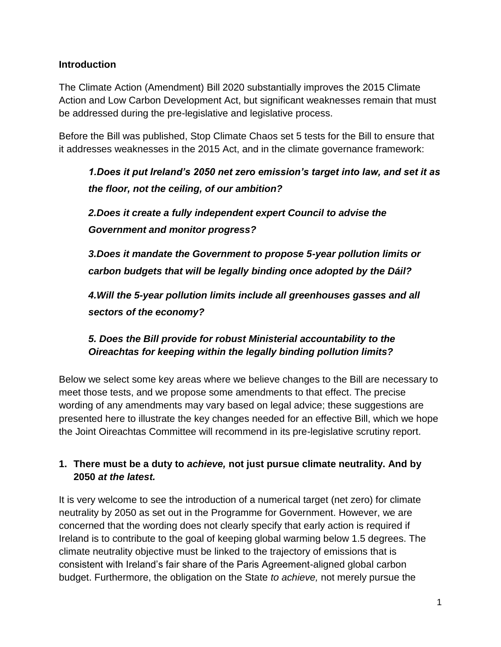#### **Introduction**

The Climate Action (Amendment) Bill 2020 substantially improves the 2015 Climate Action and Low Carbon Development Act, but significant weaknesses remain that must be addressed during the pre-legislative and legislative process.

Before the Bill was published, Stop Climate Chaos set 5 tests for the Bill to ensure that it addresses weaknesses in the 2015 Act, and in the climate governance framework:

*1.Does it put Ireland's 2050 net zero emission's target into law, and set it as the floor, not the ceiling, of our ambition?*

*2.Does it create a fully independent expert Council to advise the Government and monitor progress?*

*3.Does it mandate the Government to propose 5-year pollution limits or carbon budgets that will be legally binding once adopted by the Dáil?*

*4.Will the 5-year pollution limits include all greenhouses gasses and all sectors of the economy?*

## *5. Does the Bill provide for robust Ministerial accountability to the Oireachtas for keeping within the legally binding pollution limits?*

Below we select some key areas where we believe changes to the Bill are necessary to meet those tests, and we propose some amendments to that effect. The precise wording of any amendments may vary based on legal advice; these suggestions are presented here to illustrate the key changes needed for an effective Bill, which we hope the Joint Oireachtas Committee will recommend in its pre-legislative scrutiny report.

## **1. There must be a duty to** *achieve,* **not just pursue climate neutrality. And by 2050** *at the latest.*

It is very welcome to see the introduction of a numerical target (net zero) for climate neutrality by 2050 as set out in the Programme for Government. However, we are concerned that the wording does not clearly specify that early action is required if Ireland is to contribute to the goal of keeping global warming below 1.5 degrees. The climate neutrality objective must be linked to the trajectory of emissions that is consistent with Ireland's fair share of the Paris Agreement-aligned global carbon budget. Furthermore, the obligation on the State *to achieve,* not merely pursue the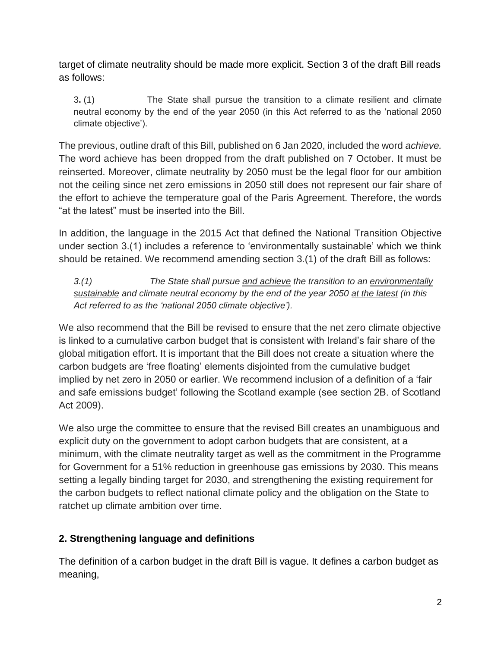target of climate neutrality should be made more explicit. Section 3 of the draft Bill reads as follows:

3**.** (1) The State shall pursue the transition to a climate resilient and climate neutral economy by the end of the year 2050 (in this Act referred to as the 'national 2050 climate objective').

The previous, outline draft of this Bill, published on 6 Jan 2020, included the word *achieve.* The word achieve has been dropped from the draft published on 7 October. It must be reinserted. Moreover, climate neutrality by 2050 must be the legal floor for our ambition not the ceiling since net zero emissions in 2050 still does not represent our fair share of the effort to achieve the temperature goal of the Paris Agreement. Therefore, the words "at the latest" must be inserted into the Bill.

In addition, the language in the 2015 Act that defined the National Transition Objective under section 3.(1) includes a reference to 'environmentally sustainable' which we think should be retained. We recommend amending section 3.(1) of the draft Bill as follows:

*3.(1) The State shall pursue and achieve the transition to an environmentally sustainable and climate neutral economy by the end of the year 2050 at the latest (in this Act referred to as the 'national 2050 climate objective').*

We also recommend that the Bill be revised to ensure that the net zero climate objective is linked to a cumulative carbon budget that is consistent with Ireland's fair share of the global mitigation effort. It is important that the Bill does not create a situation where the carbon budgets are 'free floating' elements disjointed from the cumulative budget implied by net zero in 2050 or earlier. We recommend inclusion of a definition of a 'fair and safe emissions budget' following the Scotland example (see section 2B. of Scotland Act 2009).

We also urge the committee to ensure that the revised Bill creates an unambiguous and explicit duty on the government to adopt carbon budgets that are consistent, at a minimum, with the climate neutrality target as well as the commitment in the Programme for Government for a 51% reduction in greenhouse gas emissions by 2030. This means setting a legally binding target for 2030, and strengthening the existing requirement for the carbon budgets to reflect national climate policy and the obligation on the State to ratchet up climate ambition over time.

## **2. Strengthening language and definitions**

The definition of a carbon budget in the draft Bill is vague. It defines a carbon budget as meaning,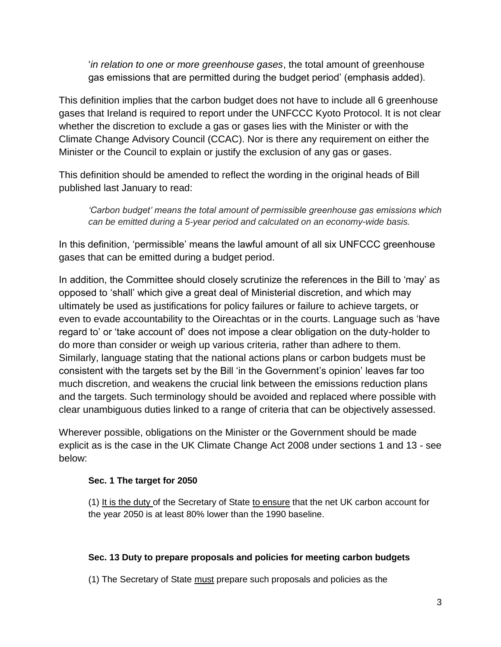'*in relation to one or more greenhouse gases*, the total amount of greenhouse gas emissions that are permitted during the budget period' (emphasis added).

This definition implies that the carbon budget does not have to include all 6 greenhouse gases that Ireland is required to report under the UNFCCC Kyoto Protocol. It is not clear whether the discretion to exclude a gas or gases lies with the Minister or with the Climate Change Advisory Council (CCAC). Nor is there any requirement on either the Minister or the Council to explain or justify the exclusion of any gas or gases.

This definition should be amended to reflect the wording in the original heads of Bill published last January to read:

*'Carbon budget' means the total amount of permissible greenhouse gas emissions which can be emitted during a 5-year period and calculated on an economy-wide basis.*

In this definition, 'permissible' means the lawful amount of all six UNFCCC greenhouse gases that can be emitted during a budget period.

In addition, the Committee should closely scrutinize the references in the Bill to 'may' as opposed to 'shall' which give a great deal of Ministerial discretion, and which may ultimately be used as justifications for policy failures or failure to achieve targets, or even to evade accountability to the Oireachtas or in the courts. Language such as 'have regard to' or 'take account of' does not impose a clear obligation on the duty-holder to do more than consider or weigh up various criteria, rather than adhere to them. Similarly, language stating that the national actions plans or carbon budgets must be consistent with the targets set by the Bill 'in the Government's opinion' leaves far too much discretion, and weakens the crucial link between the emissions reduction plans and the targets. Such terminology should be avoided and replaced where possible with clear unambiguous duties linked to a range of criteria that can be objectively assessed.

Wherever possible, obligations on the Minister or the Government should be made explicit as is the case in the UK Climate Change Act 2008 under sections 1 and 13 - see below:

#### **Sec. 1 The target for 2050**

(1) It is the duty of the Secretary of State to ensure that the net UK carbon account for the year 2050 is at least 80% lower than the 1990 baseline.

#### **Sec. 13 Duty to prepare proposals and policies for meeting carbon budgets**

(1) The Secretary of State must prepare such proposals and policies as the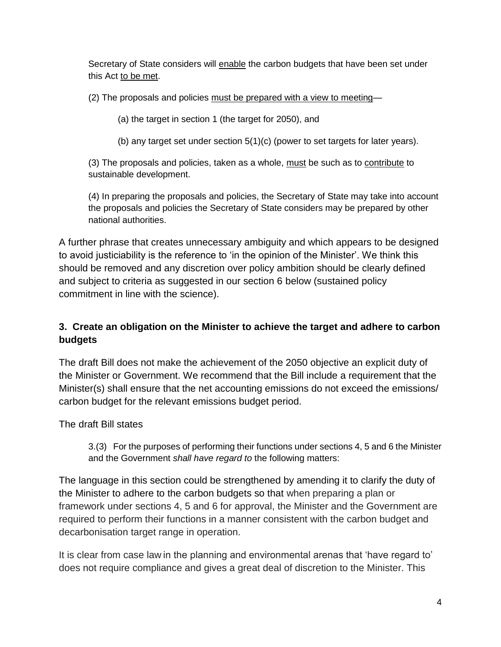Secretary of State considers will enable the carbon budgets that have been set under this Act to be met.

(2) The proposals and policies must be prepared with a view to meeting—

(a) the target in section 1 (the target for 2050), and

(b) any target set under section 5(1)(c) (power to set targets for later years).

(3) The proposals and policies, taken as a whole, must be such as to contribute to sustainable development.

(4) In preparing the proposals and policies, the Secretary of State may take into account the proposals and policies the Secretary of State considers may be prepared by other national authorities.

A further phrase that creates unnecessary ambiguity and which appears to be designed to avoid justiciability is the reference to 'in the opinion of the Minister'. We think this should be removed and any discretion over policy ambition should be clearly defined and subject to criteria as suggested in our section 6 below (sustained policy commitment in line with the science).

## **3. Create an obligation on the Minister to achieve the target and adhere to carbon budgets**

The draft Bill does not make the achievement of the 2050 objective an explicit duty of the Minister or Government. We recommend that the Bill include a requirement that the Minister(s) shall ensure that the net accounting emissions do not exceed the emissions/ carbon budget for the relevant emissions budget period.

The draft Bill states

3.(3) For the purposes of performing their functions under sections 4, 5 and 6 the Minister and the Government *shall have regard to* the following matters:

The language in this section could be strengthened by amending it to clarify the duty of the Minister to adhere to the carbon budgets so that when preparing a plan or framework under sections 4, 5 and 6 for approval, the Minister and the Government are required to perform their functions in a manner consistent with the carbon budget and decarbonisation target range in operation.

It is clear from case law in the planning and environmental arenas that 'have regard to' does not require compliance and gives a great deal of discretion to the Minister. This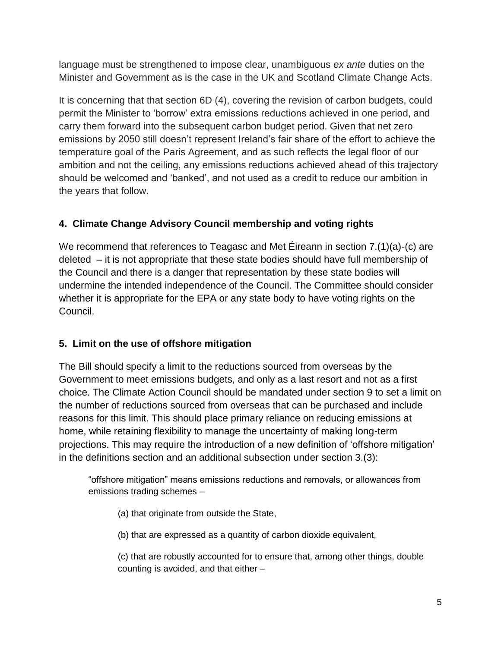language must be strengthened to impose clear, unambiguous *ex ante* duties on the Minister and Government as is the case in the UK and Scotland Climate Change Acts.

It is concerning that that section 6D (4), covering the revision of carbon budgets, could permit the Minister to 'borrow' extra emissions reductions achieved in one period, and carry them forward into the subsequent carbon budget period. Given that net zero emissions by 2050 still doesn't represent Ireland's fair share of the effort to achieve the temperature goal of the Paris Agreement, and as such reflects the legal floor of our ambition and not the ceiling, any emissions reductions achieved ahead of this trajectory should be welcomed and 'banked', and not used as a credit to reduce our ambition in the years that follow.

## **4. Climate Change Advisory Council membership and voting rights**

We recommend that references to Teagasc and Met Éireann in section 7.(1)(a)-(c) are deleted – it is not appropriate that these state bodies should have full membership of the Council and there is a danger that representation by these state bodies will undermine the intended independence of the Council. The Committee should consider whether it is appropriate for the EPA or any state body to have voting rights on the Council.

## **5. Limit on the use of offshore mitigation**

The Bill should specify a limit to the reductions sourced from overseas by the Government to meet emissions budgets, and only as a last resort and not as a first choice. The Climate Action Council should be mandated under section 9 to set a limit on the number of reductions sourced from overseas that can be purchased and include reasons for this limit. This should place primary reliance on reducing emissions at home, while retaining flexibility to manage the uncertainty of making long-term projections. This may require the introduction of a new definition of 'offshore mitigation' in the definitions section and an additional subsection under section 3.(3):

"offshore mitigation" means emissions reductions and removals, or allowances from emissions trading schemes –

(a) that originate from outside the State,

(b) that are expressed as a quantity of carbon dioxide equivalent,

(c) that are robustly accounted for to ensure that, among other things, double counting is avoided, and that either –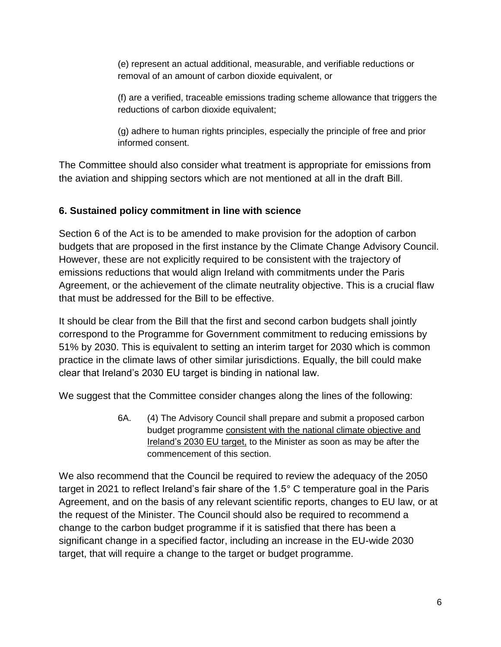(e) represent an actual additional, measurable, and verifiable reductions or removal of an amount of carbon dioxide equivalent, or

(f) are a verified, traceable emissions trading scheme allowance that triggers the reductions of carbon dioxide equivalent;

(g) adhere to human rights principles, especially the principle of free and prior informed consent.

The Committee should also consider what treatment is appropriate for emissions from the aviation and shipping sectors which are not mentioned at all in the draft Bill.

### **6. Sustained policy commitment in line with science**

Section 6 of the Act is to be amended to make provision for the adoption of carbon budgets that are proposed in the first instance by the Climate Change Advisory Council. However, these are not explicitly required to be consistent with the trajectory of emissions reductions that would align Ireland with commitments under the Paris Agreement, or the achievement of the climate neutrality objective. This is a crucial flaw that must be addressed for the Bill to be effective.

It should be clear from the Bill that the first and second carbon budgets shall jointly correspond to the Programme for Government commitment to reducing emissions by 51% by 2030. This is equivalent to setting an interim target for 2030 which is common practice in the climate laws of other similar jurisdictions. Equally, the bill could make clear that Ireland's 2030 EU target is binding in national law.

We suggest that the Committee consider changes along the lines of the following:

6A. (4) The Advisory Council shall prepare and submit a proposed carbon budget programme consistent with the national climate objective and Ireland's 2030 EU target, to the Minister as soon as may be after the commencement of this section.

We also recommend that the Council be required to review the adequacy of the 2050 target in 2021 to reflect Ireland's fair share of the 1.5° C temperature goal in the Paris Agreement, and on the basis of any relevant scientific reports, changes to EU law, or at the request of the Minister. The Council should also be required to recommend a change to the carbon budget programme if it is satisfied that there has been a significant change in a specified factor, including an increase in the EU-wide 2030 target, that will require a change to the target or budget programme.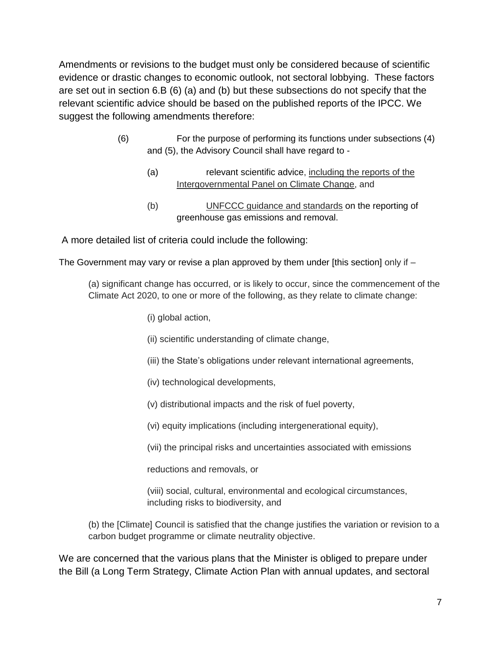Amendments or revisions to the budget must only be considered because of scientific evidence or drastic changes to economic outlook, not sectoral lobbying. These factors are set out in section 6.B (6) (a) and (b) but these subsections do not specify that the relevant scientific advice should be based on the published reports of the IPCC. We suggest the following amendments therefore:

- (6) For the purpose of performing its functions under subsections (4) and (5), the Advisory Council shall have regard to -
	- (a) relevant scientific advice, including the reports of the Intergovernmental Panel on Climate Change, and
	- (b) UNFCCC guidance and standards on the reporting of greenhouse gas emissions and removal.

A more detailed list of criteria could include the following:

The Government may vary or revise a plan approved by them under [this section] only if  $-$ 

(a) significant change has occurred, or is likely to occur, since the commencement of the Climate Act 2020, to one or more of the following, as they relate to climate change:

- (i) global action,
- (ii) scientific understanding of climate change,
- (iii) the State's obligations under relevant international agreements,
- (iv) technological developments,
- (v) distributional impacts and the risk of fuel poverty,
- (vi) equity implications (including intergenerational equity),
- (vii) the principal risks and uncertainties associated with emissions

reductions and removals, or

(viii) social, cultural, environmental and ecological circumstances, including risks to biodiversity, and

(b) the [Climate] Council is satisfied that the change justifies the variation or revision to a carbon budget programme or climate neutrality objective.

We are concerned that the various plans that the Minister is obliged to prepare under the Bill (a Long Term Strategy, Climate Action Plan with annual updates, and sectoral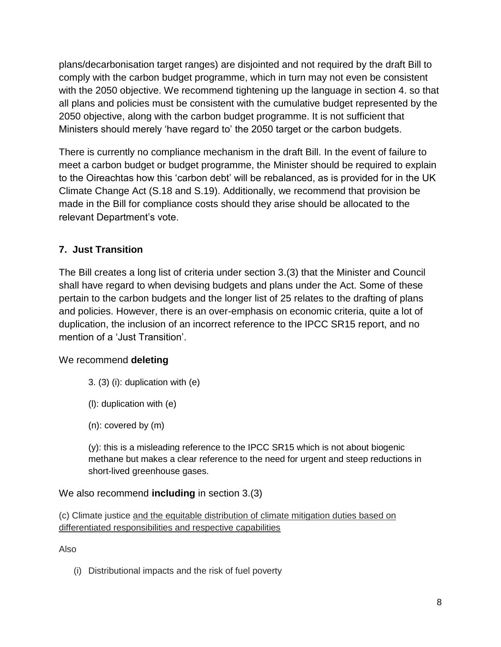plans/decarbonisation target ranges) are disjointed and not required by the draft Bill to comply with the carbon budget programme, which in turn may not even be consistent with the 2050 objective. We recommend tightening up the language in section 4. so that all plans and policies must be consistent with the cumulative budget represented by the 2050 objective, along with the carbon budget programme. It is not sufficient that Ministers should merely 'have regard to' the 2050 target or the carbon budgets.

There is currently no compliance mechanism in the draft Bill. In the event of failure to meet a carbon budget or budget programme, the Minister should be required to explain to the Oireachtas how this 'carbon debt' will be rebalanced, as is provided for in the UK Climate Change Act (S.18 and S.19). Additionally, we recommend that provision be made in the Bill for compliance costs should they arise should be allocated to the relevant Department's vote.

## **7. Just Transition**

The Bill creates a long list of criteria under section 3.(3) that the Minister and Council shall have regard to when devising budgets and plans under the Act. Some of these pertain to the carbon budgets and the longer list of 25 relates to the drafting of plans and policies. However, there is an over-emphasis on economic criteria, quite a lot of duplication, the inclusion of an incorrect reference to the IPCC SR15 report, and no mention of a 'Just Transition'.

#### We recommend **deleting**

- $3. (3)$  (i): duplication with  $(e)$
- (l): duplication with (e)
- (n): covered by (m)

(y): this is a misleading reference to the IPCC SR15 which is not about biogenic methane but makes a clear reference to the need for urgent and steep reductions in short-lived greenhouse gases.

## We also recommend **including** in section 3.(3)

(c) Climate justice and the equitable distribution of climate mitigation duties based on differentiated responsibilities and respective capabilities

Also

(i) Distributional impacts and the risk of fuel poverty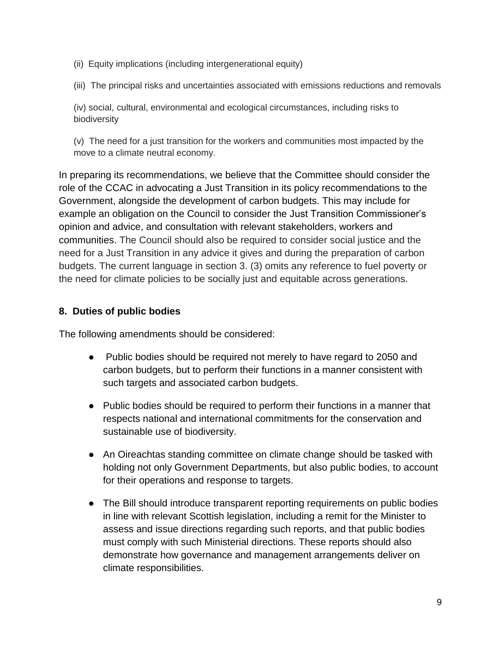- (ii) Equity implications (including intergenerational equity)
- (iii) The principal risks and uncertainties associated with emissions reductions and removals

(iv) social, cultural, environmental and ecological circumstances, including risks to biodiversity

(v) The need for a just transition for the workers and communities most impacted by the move to a climate neutral economy.

In preparing its recommendations, we believe that the Committee should consider the role of the CCAC in advocating a Just Transition in its policy recommendations to the Government, alongside the development of carbon budgets. This may include for example an obligation on the Council to consider the Just Transition Commissioner's opinion and advice, and consultation with relevant stakeholders, workers and communities. The Council should also be required to consider social justice and the need for a Just Transition in any advice it gives and during the preparation of carbon budgets. The current language in section 3. (3) omits any reference to fuel poverty or the need for climate policies to be socially just and equitable across generations.

## **8. Duties of public bodies**

The following amendments should be considered:

- Public bodies should be required not merely to have regard to 2050 and carbon budgets, but to perform their functions in a manner consistent with such targets and associated carbon budgets.
- Public bodies should be required to perform their functions in a manner that respects national and international commitments for the conservation and sustainable use of biodiversity.
- An Oireachtas standing committee on climate change should be tasked with holding not only Government Departments, but also public bodies, to account for their operations and response to targets.
- The Bill should introduce transparent reporting requirements on public bodies in line with relevant Scottish legislation, including a remit for the Minister to assess and issue directions regarding such reports, and that public bodies must comply with such Ministerial directions. These reports should also demonstrate how governance and management arrangements deliver on climate responsibilities.